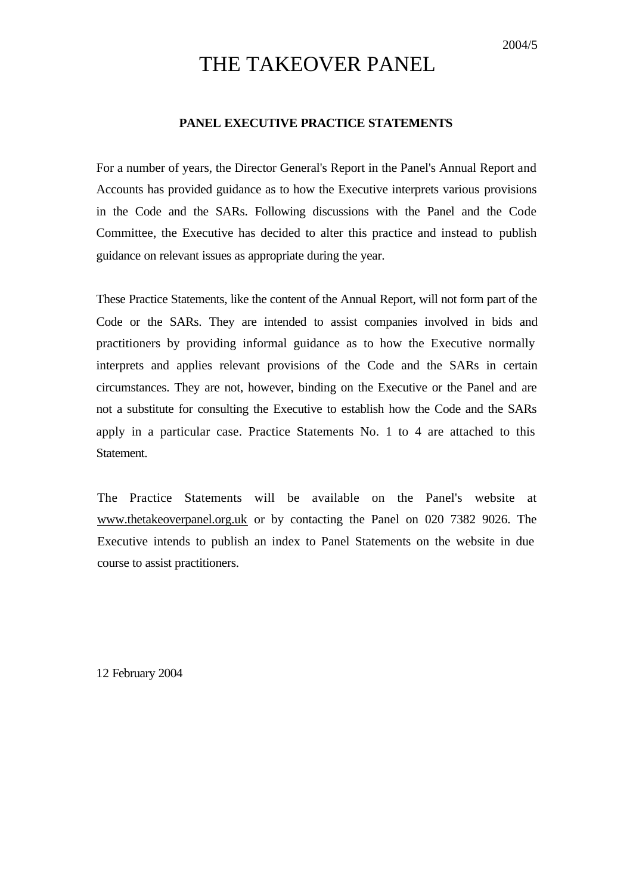# THE TAKEOVER PANEL

## **PANEL EXECUTIVE PRACTICE STATEMENTS**

For a number of years, the Director General's Report in the Panel's Annual Report and Accounts has provided guidance as to how the Executive interprets various provisions in the Code and the SARs. Following discussions with the Panel and the Code Committee, the Executive has decided to alter this practice and instead to publish guidance on relevant issues as appropriate during the year.

These Practice Statements, like the content of the Annual Report, will not form part of the Code or the SARs. They are intended to assist companies involved in bids and practitioners by providing informal guidance as to how the Executive normally interprets and applies relevant provisions of the Code and the SARs in certain circumstances. They are not, however, binding on the Executive or the Panel and are not a substitute for consulting the Executive to establish how the Code and the SARs apply in a particular case. Practice Statements No. 1 to 4 are attached to this Statement.

The Practice Statements will be available on the Panel's website at www.thetakeoverpanel.org.uk or by contacting the Panel on 020 7382 9026. The Executive intends to publish an index to Panel Statements on the website in due course to assist practitioners.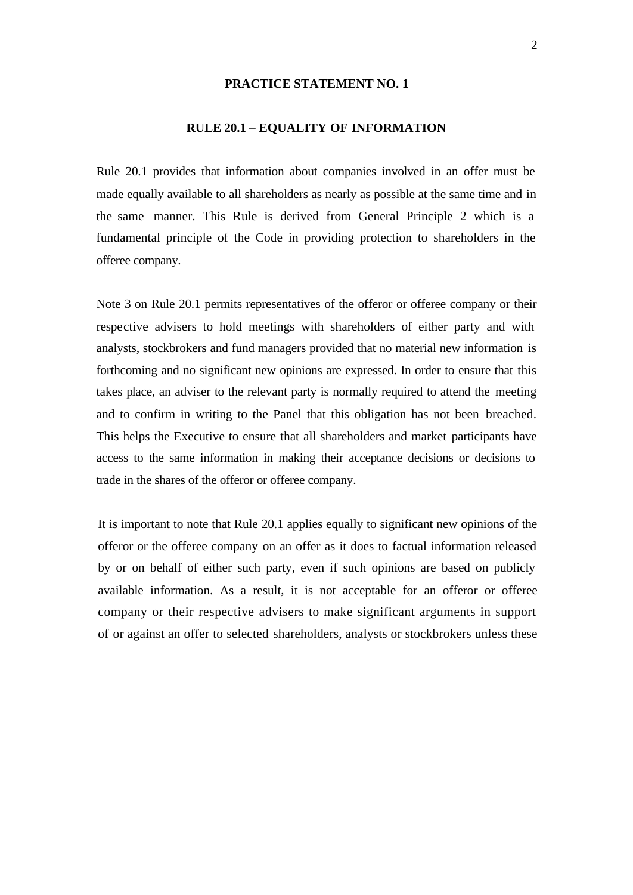## **RULE 20.1 – EQUALITY OF INFORMATION**

Rule 20.1 provides that information about companies involved in an offer must be made equally available to all shareholders as nearly as possible at the same time and in the same manner. This Rule is derived from General Principle 2 which is a fundamental principle of the Code in providing protection to shareholders in the offeree company.

Note 3 on Rule 20.1 permits representatives of the offeror or offeree company or their respective advisers to hold meetings with shareholders of either party and with analysts, stockbrokers and fund managers provided that no material new information is forthcoming and no significant new opinions are expressed. In order to ensure that this takes place, an adviser to the relevant party is normally required to attend the meeting and to confirm in writing to the Panel that this obligation has not been breached. This helps the Executive to ensure that all shareholders and market participants have access to the same information in making their acceptance decisions or decisions to trade in the shares of the offeror or offeree company.

It is important to note that Rule 20.1 applies equally to significant new opinions of the offeror or the offeree company on an offer as it does to factual information released by or on behalf of either such party, even if such opinions are based on publicly available information. As a result, it is not acceptable for an offeror or offeree company or their respective advisers to make significant arguments in support of or against an offer to selected shareholders, analysts or stockbrokers unless these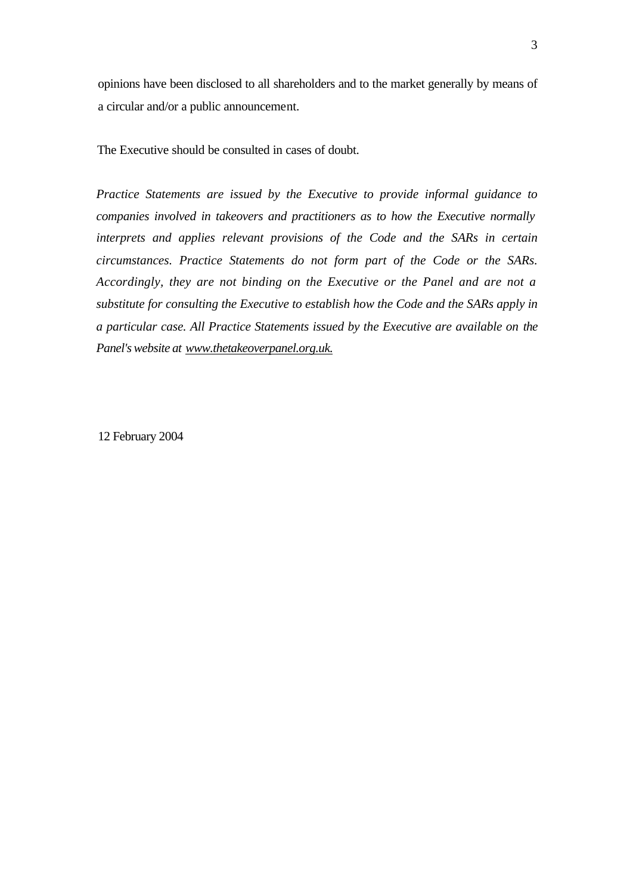opinions have been disclosed to all shareholders and to the market generally by means of a circular and/or a public announcement.

The Executive should be consulted in cases of doubt.

*Practice Statements are issued by the Executive to provide informal guidance to companies involved in takeovers and practitioners as to how the Executive normally interprets and applies relevant provisions of the Code and the SARs in certain circumstances. Practice Statements do not form part of the Code or the SARs. Accordingly, they are not binding on the Executive or the Panel and are not a substitute for consulting the Executive to establish how the Code and the SARs apply in a particular case. All Practice Statements issued by the Executive are available on the Panel's website at www.thetakeoverpanel.org.uk.*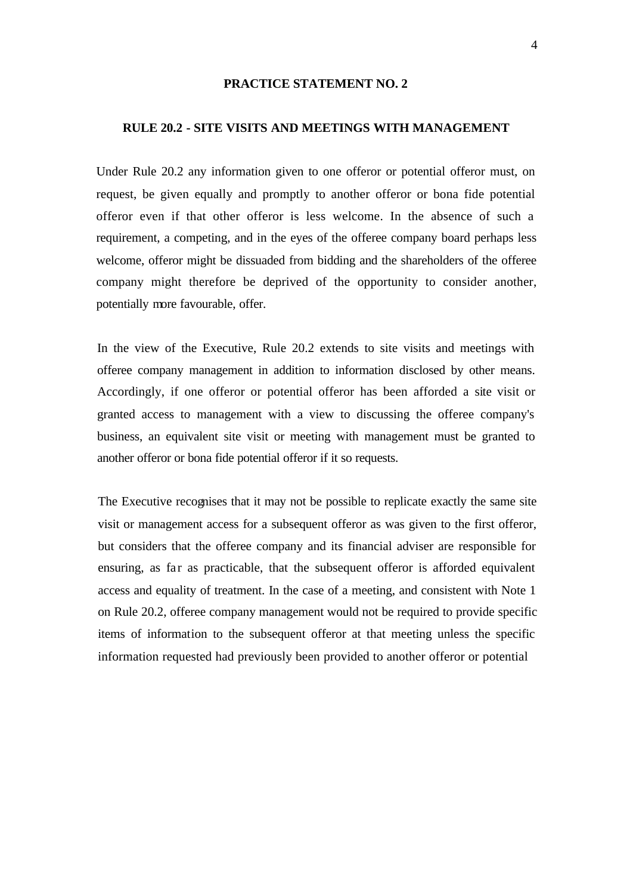## **RULE 20.2 - SITE VISITS AND MEETINGS WITH MANAGEMENT**

Under Rule 20.2 any information given to one offeror or potential offeror must, on request, be given equally and promptly to another offeror or bona fide potential offeror even if that other offeror is less welcome. In the absence of such a requirement, a competing, and in the eyes of the offeree company board perhaps less welcome, offeror might be dissuaded from bidding and the shareholders of the offeree company might therefore be deprived of the opportunity to consider another, potentially more favourable, offer.

In the view of the Executive, Rule 20.2 extends to site visits and meetings with offeree company management in addition to information disclosed by other means. Accordingly, if one offeror or potential offeror has been afforded a site visit or granted access to management with a view to discussing the offeree company's business, an equivalent site visit or meeting with management must be granted to another offeror or bona fide potential offeror if it so requests.

The Executive recognises that it may not be possible to replicate exactly the same site visit or management access for a subsequent offeror as was given to the first offeror, but considers that the offeree company and its financial adviser are responsible for ensuring, as far as practicable, that the subsequent offeror is afforded equivalent access and equality of treatment. In the case of a meeting, and consistent with Note 1 on Rule 20.2, offeree company management would not be required to provide specific items of information to the subsequent offeror at that meeting unless the specific information requested had previously been provided to another offeror or potential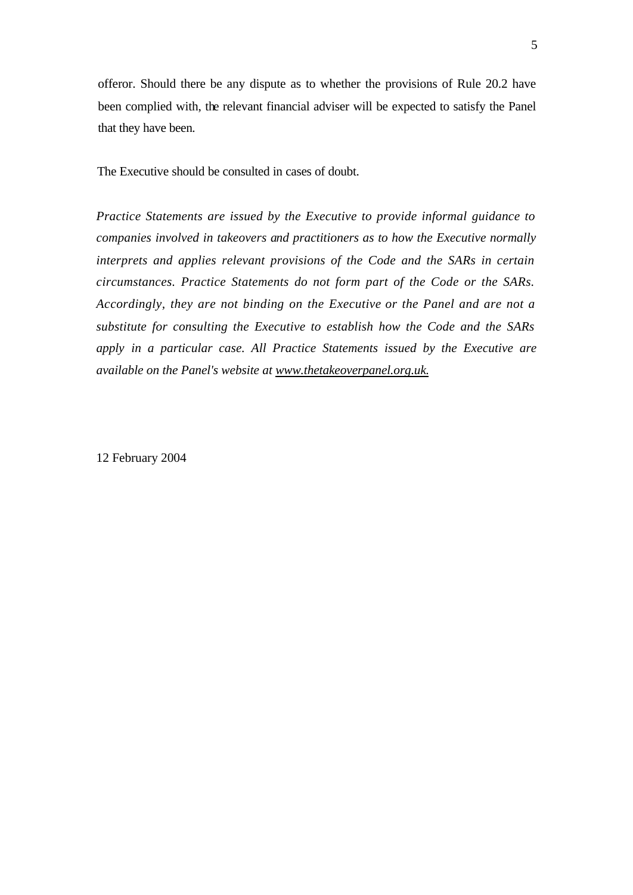offeror. Should there be any dispute as to whether the provisions of Rule 20.2 have been complied with, the relevant financial adviser will be expected to satisfy the Panel that they have been.

The Executive should be consulted in cases of doubt.

*Practice Statements are issued by the Executive to provide informal guidance to companies involved in takeovers and practitioners as to how the Executive normally interprets and applies relevant provisions of the Code and the SARs in certain circumstances. Practice Statements do not form part of the Code or the SARs. Accordingly, they are not binding on the Executive or the Panel and are not a substitute for consulting the Executive to establish how the Code and the SARs apply in a particular case. All Practice Statements issued by the Executive are available on the Panel's website at www.thetakeoverpanel.org.uk.*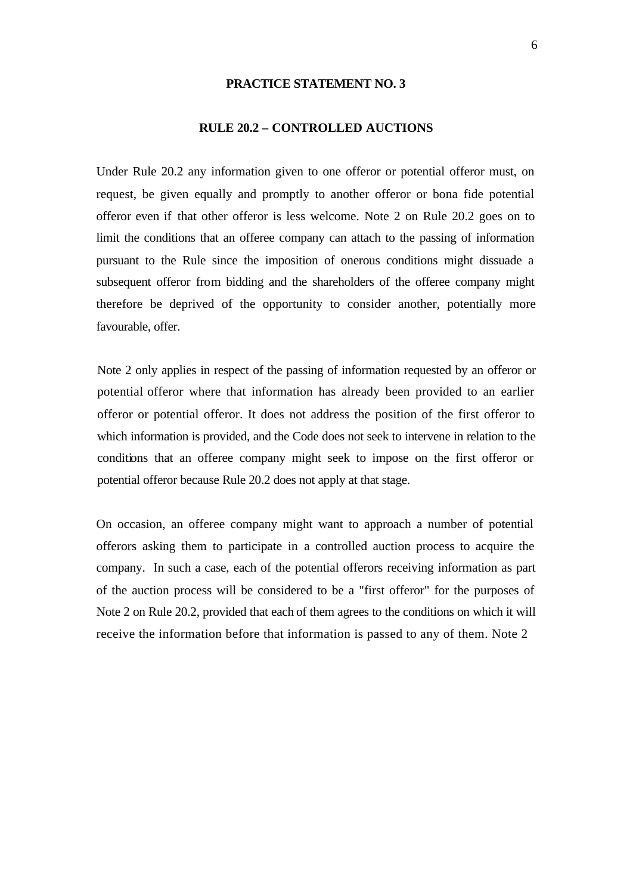## **RULE 20.2 – CONTROLLED AUCTIONS**

Under Rule 20.2 any information given to one offeror or potential offeror must, on request, be given equally and promptly to another offeror or bona fide potential offeror even if that other offeror is less welcome. Note 2 on Rule 20.2 goes on to limit the conditions that an offeree company can attach to the passing of information pursuant to the Rule since the imposition of onerous conditions might dissuade a subsequent offeror from bidding and the shareholders of the offeree company might therefore be deprived of the opportunity to consider another, potentially more favourable, offer.

Note 2 only applies in respect of the passing of information requested by an offeror or potential offeror where that information has already been provided to an earlier offeror or potential offeror. It does not address the position of the first offeror to which information is provided, and the Code does not seek to intervene in relation to the conditions that an offeree company might seek to impose on the first offeror or potential offeror because Rule 20.2 does not apply at that stage.

On occasion, an offeree company might want to approach a number of potential offerors asking them to participate in a controlled auction process to acquire the company. In such a case, each of the potential offerors receiving information as part of the auction process will be considered to be a "first offeror" for the purposes of Note 2 on Rule 20.2, provided that each of them agrees to the conditions on which it will receive the information before that information is passed to any of them. Note 2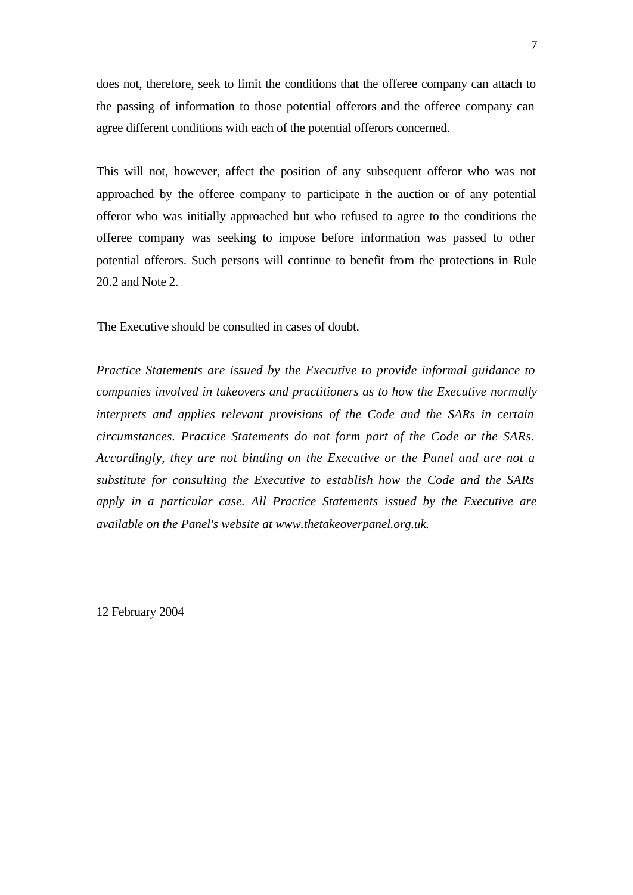does not, therefore, seek to limit the conditions that the offeree company can attach to the passing of information to those potential offerors and the offeree company can agree different conditions with each of the potential offerors concerned.

This will not, however, affect the position of any subsequent offeror who was not approached by the offeree company to participate in the auction or of any potential offeror who was initially approached but who refused to agree to the conditions the offeree company was seeking to impose before information was passed to other potential offerors. Such persons will continue to benefit from the protections in Rule 20.2 and Note 2.

The Executive should be consulted in cases of doubt.

*Practice Statements are issued by the Executive to provide informal guidance to companies involved in takeovers and practitioners as to how the Executive normally interprets and applies relevant provisions of the Code and the SARs in certain circumstances. Practice Statements do not form part of the Code or the SARs. Accordingly, they are not binding on the Executive or the Panel and are not a substitute for consulting the Executive to establish how the Code and the SARs apply in a particular case. All Practice Statements issued by the Executive are available on the Panel's website at www.thetakeoverpanel.org.uk.*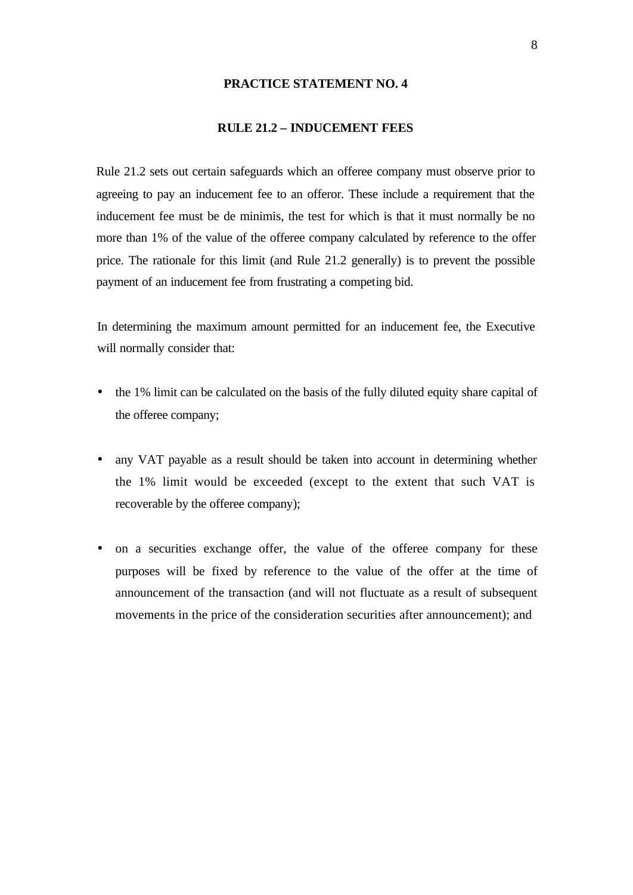## **RULE 21.2 – INDUCEMENT FEES**

Rule 21.2 sets out certain safeguards which an offeree company must observe prior to agreeing to pay an inducement fee to an offeror. These include a requirement that the inducement fee must be de minimis, the test for which is that it must normally be no more than 1% of the value of the offeree company calculated by reference to the offer price. The rationale for this limit (and Rule 21.2 generally) is to prevent the possible payment of an inducement fee from frustrating a competing bid.

In determining the maximum amount permitted for an inducement fee, the Executive will normally consider that:

- the 1% limit can be calculated on the basis of the fully diluted equity share capital of the offeree company;
- any VAT payable as a result should be taken into account in determining whether the 1% limit would be exceeded (except to the extent that such VAT is recoverable by the offeree company);
- on a securities exchange offer, the value of the offeree company for these purposes will be fixed by reference to the value of the offer at the time of announcement of the transaction (and will not fluctuate as a result of subsequent movements in the price of the consideration securities after announcement); and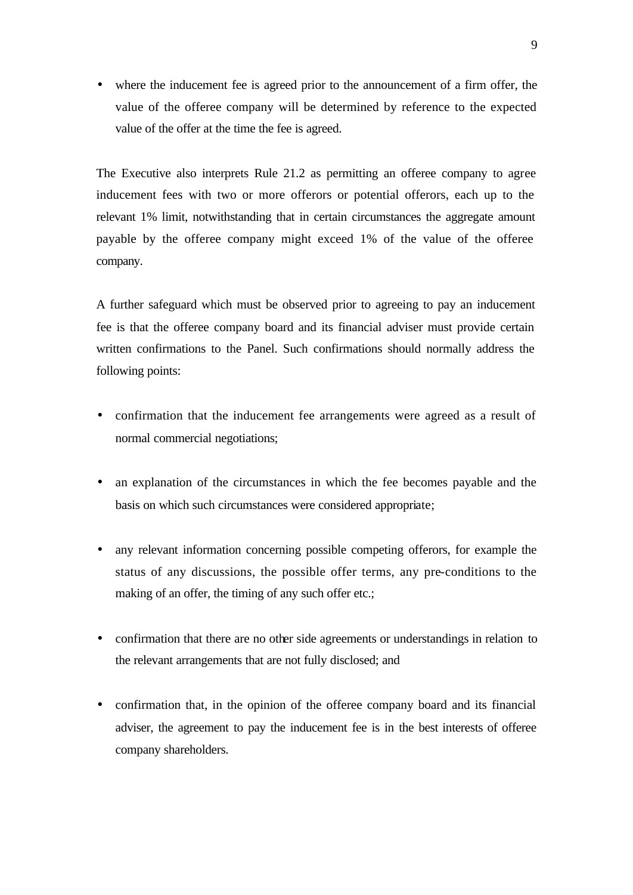• where the inducement fee is agreed prior to the announcement of a firm offer, the value of the offeree company will be determined by reference to the expected value of the offer at the time the fee is agreed.

The Executive also interprets Rule 21.2 as permitting an offeree company to agree inducement fees with two or more offerors or potential offerors, each up to the relevant 1% limit, notwithstanding that in certain circumstances the aggregate amount payable by the offeree company might exceed 1% of the value of the offeree company.

A further safeguard which must be observed prior to agreeing to pay an inducement fee is that the offeree company board and its financial adviser must provide certain written confirmations to the Panel. Such confirmations should normally address the following points:

- confirmation that the inducement fee arrangements were agreed as a result of normal commercial negotiations;
- an explanation of the circumstances in which the fee becomes payable and the basis on which such circumstances were considered appropriate;
- any relevant information concerning possible competing offerors, for example the status of any discussions, the possible offer terms, any pre-conditions to the making of an offer, the timing of any such offer etc.;
- confirmation that there are no other side agreements or understandings in relation to the relevant arrangements that are not fully disclosed; and
- confirmation that, in the opinion of the offeree company board and its financial adviser, the agreement to pay the inducement fee is in the best interests of offeree company shareholders.